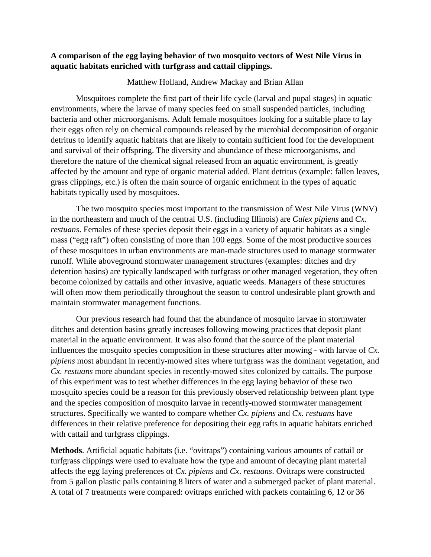## **A comparison of the egg laying behavior of two mosquito vectors of West Nile Virus in aquatic habitats enriched with turfgrass and cattail clippings.**

Matthew Holland, Andrew Mackay and Brian Allan

Mosquitoes complete the first part of their life cycle (larval and pupal stages) in aquatic environments, where the larvae of many species feed on small suspended particles, including bacteria and other microorganisms. Adult female mosquitoes looking for a suitable place to lay their eggs often rely on chemical compounds released by the microbial decomposition of organic detritus to identify aquatic habitats that are likely to contain sufficient food for the development and survival of their offspring. The diversity and abundance of these microorganisms, and therefore the nature of the chemical signal released from an aquatic environment, is greatly affected by the amount and type of organic material added. Plant detritus (example: fallen leaves, grass clippings, etc.) is often the main source of organic enrichment in the types of aquatic habitats typically used by mosquitoes.

The two mosquito species most important to the transmission of West Nile Virus (WNV) in the northeastern and much of the central U.S. (including Illinois) are *Culex pipiens* and *Cx. restuans*. Females of these species deposit their eggs in a variety of aquatic habitats as a single mass ("egg raft") often consisting of more than 100 eggs. Some of the most productive sources of these mosquitoes in urban environments are man-made structures used to manage stormwater runoff. While aboveground stormwater management structures (examples: ditches and dry detention basins) are typically landscaped with turfgrass or other managed vegetation, they often become colonized by cattails and other invasive, aquatic weeds. Managers of these structures will often mow them periodically throughout the season to control undesirable plant growth and maintain stormwater management functions.

Our previous research had found that the abundance of mosquito larvae in stormwater ditches and detention basins greatly increases following mowing practices that deposit plant material in the aquatic environment. It was also found that the source of the plant material influences the mosquito species composition in these structures after mowing - with larvae of *Cx. pipiens* most abundant in recently-mowed sites where turfgrass was the dominant vegetation, and *Cx. restuans* more abundant species in recently-mowed sites colonized by cattails. The purpose of this experiment was to test whether differences in the egg laying behavior of these two mosquito species could be a reason for this previously observed relationship between plant type and the species composition of mosquito larvae in recently-mowed stormwater management structures. Specifically we wanted to compare whether *Cx. pipiens* and *Cx. restuans* have differences in their relative preference for depositing their egg rafts in aquatic habitats enriched with cattail and turfgrass clippings.

**Methods**. Artificial aquatic habitats (i.e. "ovitraps") containing various amounts of cattail or turfgrass clippings were used to evaluate how the type and amount of decaying plant material affects the egg laying preferences of *Cx*. *pipiens* and *Cx*. *restuans*. Ovitraps were constructed from 5 gallon plastic pails containing 8 liters of water and a submerged packet of plant material. A total of 7 treatments were compared: ovitraps enriched with packets containing 6, 12 or 36